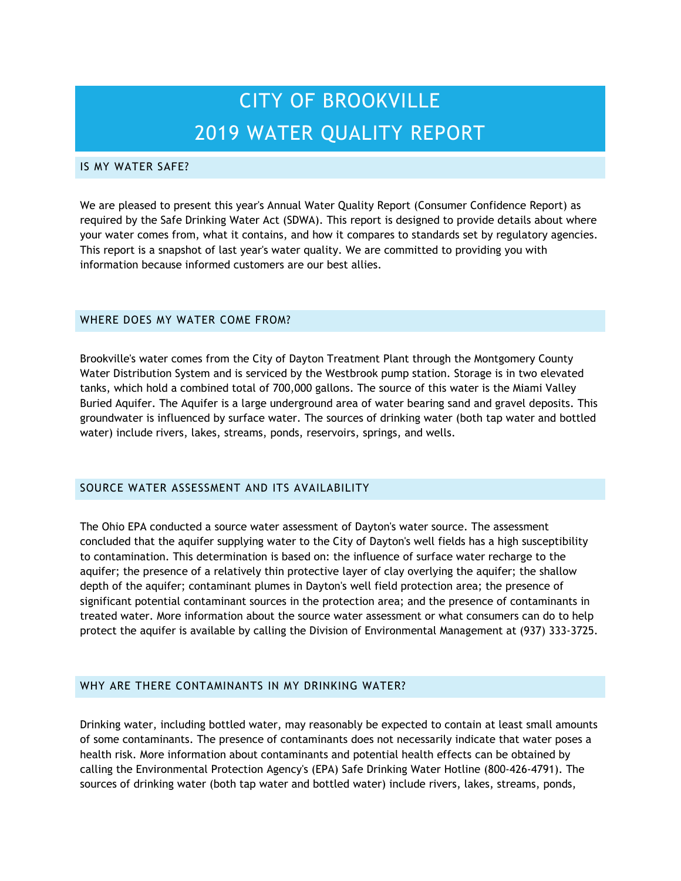# CITY OF BROOKVILLE 2019 WATER QUALITY REPORT

#### IS MY WATER SAFE?

We are pleased to present this year's Annual Water Quality Report (Consumer Confidence Report) as required by the Safe Drinking Water Act (SDWA). This report is designed to provide details about where your water comes from, what it contains, and how it compares to standards set by regulatory agencies. This report is a snapshot of last year's water quality. We are committed to providing you with information because informed customers are our best allies.

#### WHERE DOES MY WATER COME FROM?

Brookville's water comes from the City of Dayton Treatment Plant through the Montgomery County Water Distribution System and is serviced by the Westbrook pump station. Storage is in two elevated tanks, which hold a combined total of 700,000 gallons. The source of this water is the Miami Valley Buried Aquifer. The Aquifer is a large underground area of water bearing sand and gravel deposits. This groundwater is influenced by surface water. The sources of drinking water (both tap water and bottled water) include rivers, lakes, streams, ponds, reservoirs, springs, and wells.

#### SOURCE WATER ASSESSMENT AND ITS AVAILABILITY

The Ohio EPA conducted a source water assessment of Dayton's water source. The assessment concluded that the aquifer supplying water to the City of Dayton's well fields has a high susceptibility to contamination. This determination is based on: the influence of surface water recharge to the aquifer; the presence of a relatively thin protective layer of clay overlying the aquifer; the shallow depth of the aquifer; contaminant plumes in Dayton's well field protection area; the presence of significant potential contaminant sources in the protection area; and the presence of contaminants in treated water. More information about the source water assessment or what consumers can do to help protect the aquifer is available by calling the Division of Environmental Management at (937) 333-3725.

#### WHY ARE THERE CONTAMINANTS IN MY DRINKING WATER?

Drinking water, including bottled water, may reasonably be expected to contain at least small amounts of some contaminants. The presence of contaminants does not necessarily indicate that water poses a health risk. More information about contaminants and potential health effects can be obtained by calling the Environmental Protection Agency's (EPA) Safe Drinking Water Hotline (800-426-4791). The sources of drinking water (both tap water and bottled water) include rivers, lakes, streams, ponds,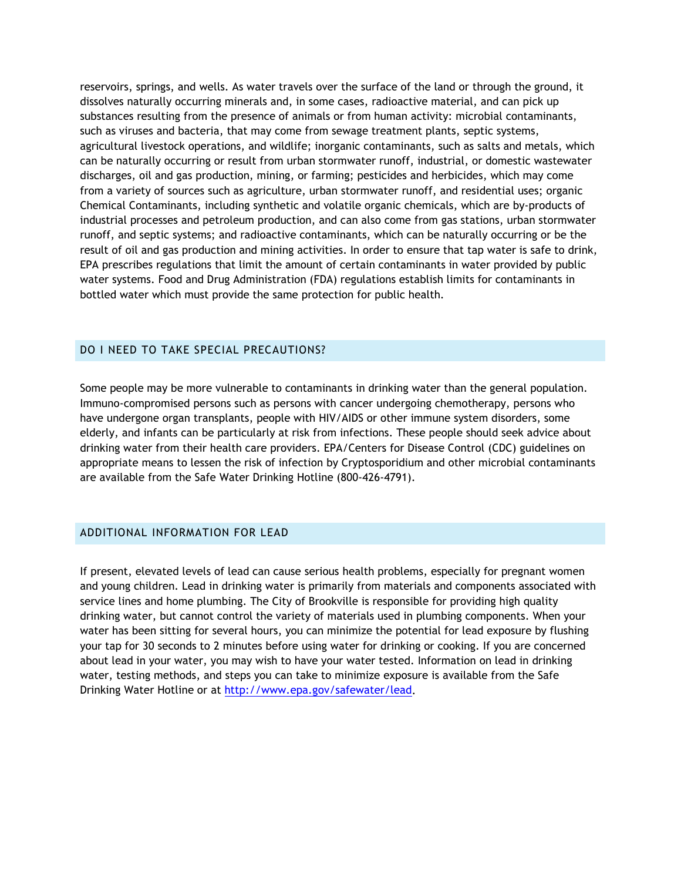reservoirs, springs, and wells. As water travels over the surface of the land or through the ground, it dissolves naturally occurring minerals and, in some cases, radioactive material, and can pick up substances resulting from the presence of animals or from human activity: microbial contaminants, such as viruses and bacteria, that may come from sewage treatment plants, septic systems, agricultural livestock operations, and wildlife; inorganic contaminants, such as salts and metals, which can be naturally occurring or result from urban stormwater runoff, industrial, or domestic wastewater discharges, oil and gas production, mining, or farming; pesticides and herbicides, which may come from a variety of sources such as agriculture, urban stormwater runoff, and residential uses; organic Chemical Contaminants, including synthetic and volatile organic chemicals, which are by-products of industrial processes and petroleum production, and can also come from gas stations, urban stormwater runoff, and septic systems; and radioactive contaminants, which can be naturally occurring or be the result of oil and gas production and mining activities. In order to ensure that tap water is safe to drink, EPA prescribes regulations that limit the amount of certain contaminants in water provided by public water systems. Food and Drug Administration (FDA) regulations establish limits for contaminants in bottled water which must provide the same protection for public health.

#### DO I NEED TO TAKE SPECIAL PRECAUTIONS?

Some people may be more vulnerable to contaminants in drinking water than the general population. Immuno-compromised persons such as persons with cancer undergoing chemotherapy, persons who have undergone organ transplants, people with HIV/AIDS or other immune system disorders, some elderly, and infants can be particularly at risk from infections. These people should seek advice about drinking water from their health care providers. EPA/Centers for Disease Control (CDC) guidelines on appropriate means to lessen the risk of infection by Cryptosporidium and other microbial contaminants are available from the Safe Water Drinking Hotline (800-426-4791).

#### ADDITIONAL INFORMATION FOR LEAD

If present, elevated levels of lead can cause serious health problems, especially for pregnant women and young children. Lead in drinking water is primarily from materials and components associated with service lines and home plumbing. The City of Brookville is responsible for providing high quality drinking water, but cannot control the variety of materials used in plumbing components. When your water has been sitting for several hours, you can minimize the potential for lead exposure by flushing your tap for 30 seconds to 2 minutes before using water for drinking or cooking. If you are concerned about lead in your water, you may wish to have your water tested. Information on lead in drinking water, testing methods, and steps you can take to minimize exposure is available from the Safe Drinking Water Hotline or at [http://www.epa.gov/safewater/lead.](http://www.epa.gov/safewater/lead)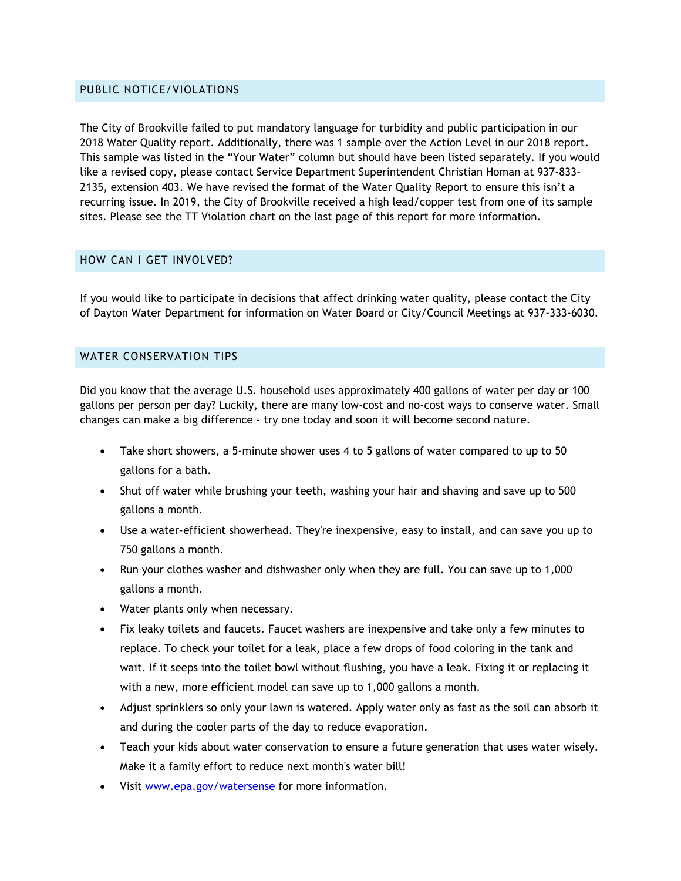#### PUBLIC NOTICE/VIOLATIONS

The City of Brookville failed to put mandatory language for turbidity and public participation in our 2018 Water Quality report. Additionally, there was 1 sample over the Action Level in our 2018 report. This sample was listed in the "Your Water" column but should have been listed separately. If you would like a revised copy, please contact Service Department Superintendent Christian Homan at 937-833- 2135, extension 403. We have revised the format of the Water Quality Report to ensure this isn't a recurring issue. In 2019, the City of Brookville received a high lead/copper test from one of its sample sites. Please see the TT Violation chart on the last page of this report for more information.

#### HOW CAN I GET INVOLVED?

If you would like to participate in decisions that affect drinking water quality, please contact the City of Dayton Water Department for information on Water Board or City/Council Meetings at 937-333-6030.

#### WATER CONSERVATION TIPS

Did you know that the average U.S. household uses approximately 400 gallons of water per day or 100 gallons per person per day? Luckily, there are many low-cost and no-cost ways to conserve water. Small changes can make a big difference - try one today and soon it will become second nature.

- Take short showers, a 5-minute shower uses 4 to 5 gallons of water compared to up to 50 gallons for a bath.
- Shut off water while brushing your teeth, washing your hair and shaving and save up to 500 gallons a month.
- Use a water-efficient showerhead. They're inexpensive, easy to install, and can save you up to 750 gallons a month.
- Run your clothes washer and dishwasher only when they are full. You can save up to 1,000 gallons a month.
- Water plants only when necessary.
- Fix leaky toilets and faucets. Faucet washers are inexpensive and take only a few minutes to replace. To check your toilet for a leak, place a few drops of food coloring in the tank and wait. If it seeps into the toilet bowl without flushing, you have a leak. Fixing it or replacing it with a new, more efficient model can save up to 1,000 gallons a month.
- Adjust sprinklers so only your lawn is watered. Apply water only as fast as the soil can absorb it and during the cooler parts of the day to reduce evaporation.
- Teach your kids about water conservation to ensure a future generation that uses water wisely. Make it a family effort to reduce next month's water bill!
- Visit [www.epa.gov/watersense](http://www.epa.gov/watersense) for more information.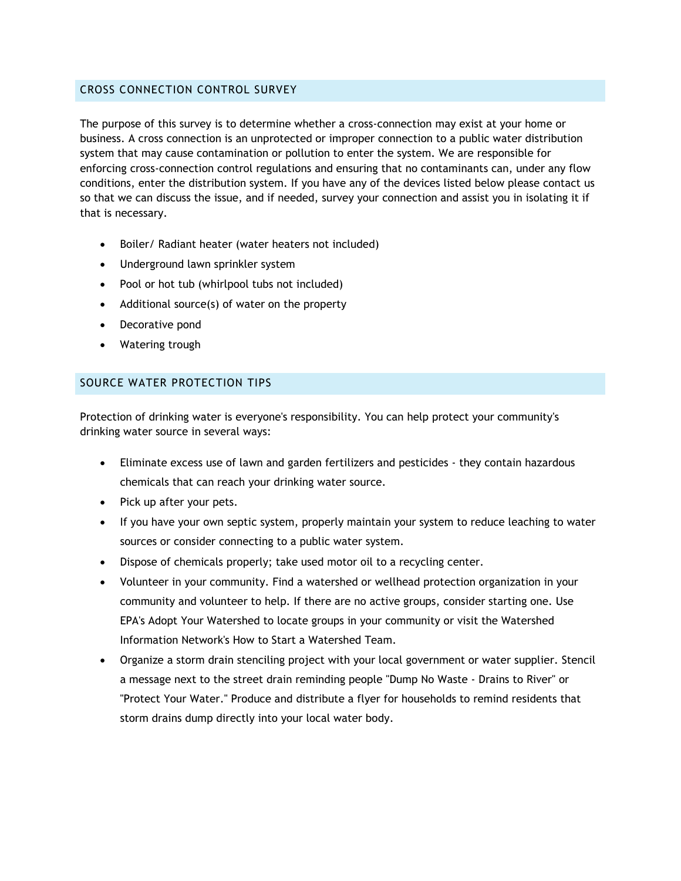#### CROSS CONNECTION CONTROL SURVEY

The purpose of this survey is to determine whether a cross-connection may exist at your home or business. A cross connection is an unprotected or improper connection to a public water distribution system that may cause contamination or pollution to enter the system. We are responsible for enforcing cross-connection control regulations and ensuring that no contaminants can, under any flow conditions, enter the distribution system. If you have any of the devices listed below please contact us so that we can discuss the issue, and if needed, survey your connection and assist you in isolating it if that is necessary.

- Boiler/ Radiant heater (water heaters not included)
- Underground lawn sprinkler system
- Pool or hot tub (whirlpool tubs not included)
- Additional source(s) of water on the property
- Decorative pond
- Watering trough

### SOURCE WATER PROTECTION TIPS

Protection of drinking water is everyone's responsibility. You can help protect your community's drinking water source in several ways:

- Eliminate excess use of lawn and garden fertilizers and pesticides they contain hazardous chemicals that can reach your drinking water source.
- Pick up after your pets.
- If you have your own septic system, properly maintain your system to reduce leaching to water sources or consider connecting to a public water system.
- Dispose of chemicals properly; take used motor oil to a recycling center.
- Volunteer in your community. Find a watershed or wellhead protection organization in your community and volunteer to help. If there are no active groups, consider starting one. Use EPA's Adopt Your Watershed to locate groups in your community or visit the Watershed Information Network's How to Start a Watershed Team.
- Organize a storm drain stenciling project with your local government or water supplier. Stencil a message next to the street drain reminding people "Dump No Waste - Drains to River" or "Protect Your Water." Produce and distribute a flyer for households to remind residents that storm drains dump directly into your local water body.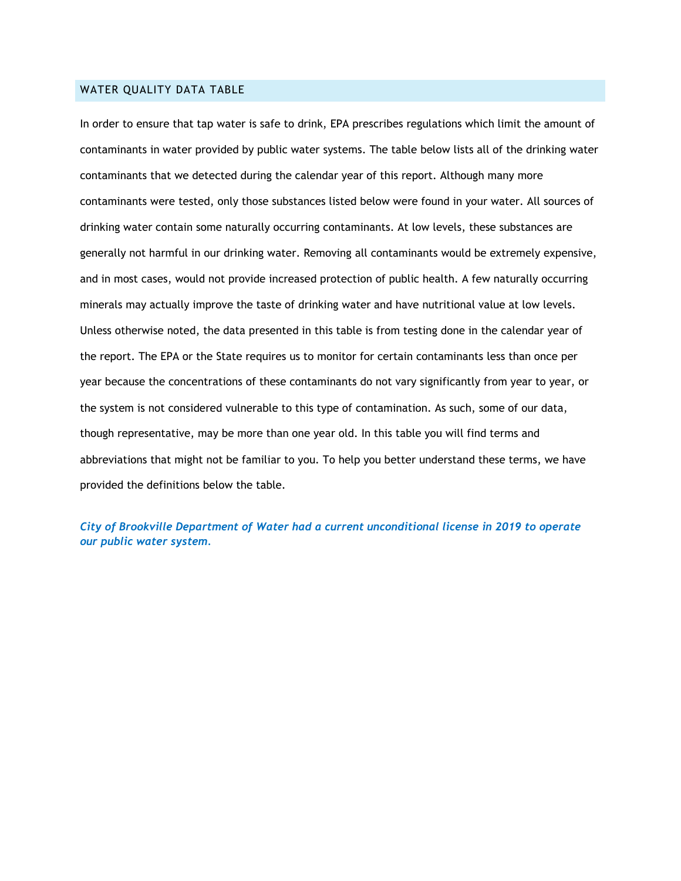#### WATER QUALITY DATA TABLE

In order to ensure that tap water is safe to drink, EPA prescribes regulations which limit the amount of contaminants in water provided by public water systems. The table below lists all of the drinking water contaminants that we detected during the calendar year of this report. Although many more contaminants were tested, only those substances listed below were found in your water. All sources of drinking water contain some naturally occurring contaminants. At low levels, these substances are generally not harmful in our drinking water. Removing all contaminants would be extremely expensive, and in most cases, would not provide increased protection of public health. A few naturally occurring minerals may actually improve the taste of drinking water and have nutritional value at low levels. Unless otherwise noted, the data presented in this table is from testing done in the calendar year of the report. The EPA or the State requires us to monitor for certain contaminants less than once per year because the concentrations of these contaminants do not vary significantly from year to year, or the system is not considered vulnerable to this type of contamination. As such, some of our data, though representative, may be more than one year old. In this table you will find terms and abbreviations that might not be familiar to you. To help you better understand these terms, we have provided the definitions below the table.

*City of Brookville Department of Water had a current unconditional license in 2019 to operate our public water system.*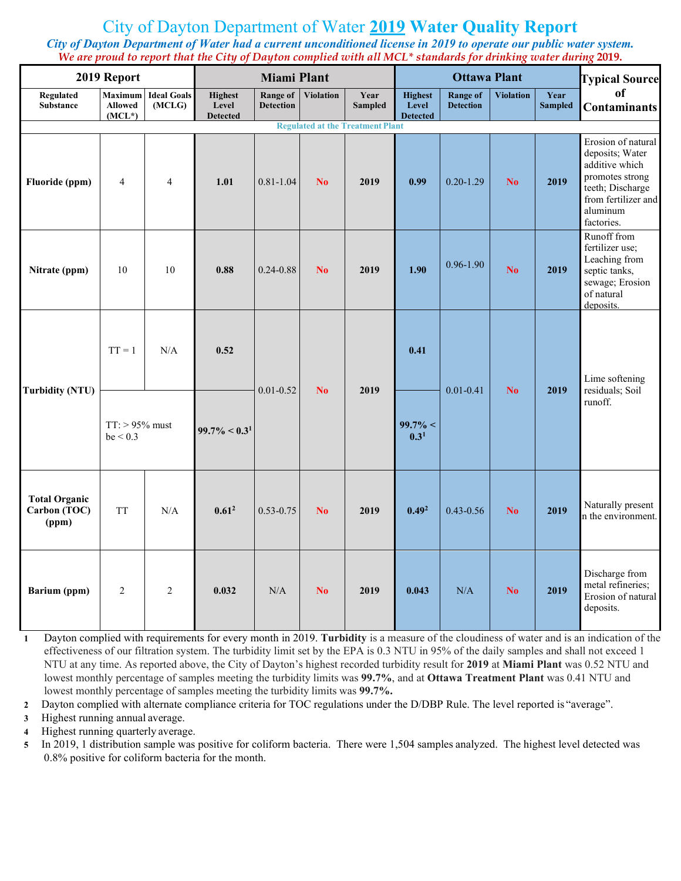# City of Dayton Department of Water **2019 Water Quality Report**

*City of Dayton Department of Water had a current unconditioned license in 2019 to operate our public water system. We are proud to report that the City of Dayton complied with all MCL\* standards for drinking water during* **2019.**

| 2019 Report                                   | <b>Miami Plant</b>                           |                              |                                            |                                     | <b>Ottawa Plant</b> |                                         |                                            |                                     | <b>Typical Source</b> |                        |                                                                                                                                                 |
|-----------------------------------------------|----------------------------------------------|------------------------------|--------------------------------------------|-------------------------------------|---------------------|-----------------------------------------|--------------------------------------------|-------------------------------------|-----------------------|------------------------|-------------------------------------------------------------------------------------------------------------------------------------------------|
| Regulated<br><b>Substance</b>                 | <b>Maximum</b><br><b>Allowed</b><br>$(MCL*)$ | <b>Ideal Goals</b><br>(MCLG) | <b>Highest</b><br>Level<br><b>Detected</b> | <b>Range of</b><br><b>Detection</b> | <b>Violation</b>    | Year<br><b>Sampled</b>                  | <b>Highest</b><br>Level<br><b>Detected</b> | <b>Range of</b><br><b>Detection</b> | <b>Violation</b>      | Year<br><b>Sampled</b> | of<br><b>Contaminants</b>                                                                                                                       |
|                                               |                                              |                              |                                            |                                     |                     | <b>Regulated at the Treatment Plant</b> |                                            |                                     |                       |                        |                                                                                                                                                 |
| Fluoride (ppm)                                | $\overline{4}$                               | $\overline{4}$               | 1.01                                       | $0.81 - 1.04$                       | N <sub>0</sub>      | 2019                                    | 0.99                                       | $0.20 - 1.29$                       | N <sub>0</sub>        | 2019                   | Erosion of natural<br>deposits; Water<br>additive which<br>promotes strong<br>teeth; Discharge<br>from fertilizer and<br>aluminum<br>factories. |
| Nitrate (ppm)                                 | 10                                           | 10                           | 0.88                                       | $0.24 - 0.88$                       | No                  | 2019                                    | 1.90                                       | $0.96 - 1.90$                       | N <sub>0</sub>        | 2019                   | Runoff from<br>fertilizer use;<br>Leaching from<br>septic tanks,<br>sewage; Erosion<br>of natural<br>deposits.                                  |
|                                               | $TT = 1$                                     | N/A                          | 0.52                                       | $0.01 - 0.52$                       | N <sub>0</sub>      | 2019                                    | 0.41                                       | $0.01 - 0.41$                       | N <sub>0</sub>        | 2019                   | Lime softening<br>residuals; Soil                                                                                                               |
| <b>Turbidity (NTU)</b>                        | $TT:$ > 95% must<br>be < 0.3                 |                              | $99.7\% < 0.31$                            |                                     |                     |                                         | $99.7\% <$<br>0.3 <sup>1</sup>             |                                     |                       |                        | runoff.                                                                                                                                         |
| <b>Total Organic</b><br>Carbon (TOC)<br>(ppm) | <b>TT</b>                                    | N/A                          | 0.61 <sup>2</sup>                          | $0.53 - 0.75$                       | N <sub>0</sub>      | 2019                                    | 0.49 <sup>2</sup>                          | $0.43 - 0.56$                       | No                    | 2019                   | Naturally present<br>in the environment.                                                                                                        |
| Barium (ppm)                                  | $\overline{2}$                               | $\overline{2}$               | 0.032                                      | N/A                                 | N <sub>0</sub>      | 2019                                    | 0.043                                      | N/A                                 | N <sub>0</sub>        | 2019                   | Discharge from<br>metal refineries:<br>Erosion of natural<br>deposits.                                                                          |

**1** Dayton complied with requirements for every month in 2019. **Turbidity** is a measure of the cloudiness of water and is an indication of the effectiveness of our filtration system. The turbidity limit set by the EPA is 0.3 NTU in 95% of the daily samples and shall not exceed 1 NTU at any time. As reported above, the City of Dayton's highest recorded turbidity result for **2019** at **Miami Plant** was 0.52 NTU and lowest monthly percentage of samples meeting the turbidity limits was **99.7%**, and at **Ottawa Treatment Plant** was 0.41 NTU and lowest monthly percentage of samples meeting the turbidity limits was **99.7%.**

**2** Dayton complied with alternate compliance criteria for TOC regulations under the D/DBP Rule. The level reported is "average".

**3** Highest running annual average.

**4** Highest running quarterly average.

**5** In 2019, 1 distribution sample was positive for coliform bacteria. There were 1,504 samples analyzed. The highest level detected was 0.8% positive for coliform bacteria for the month.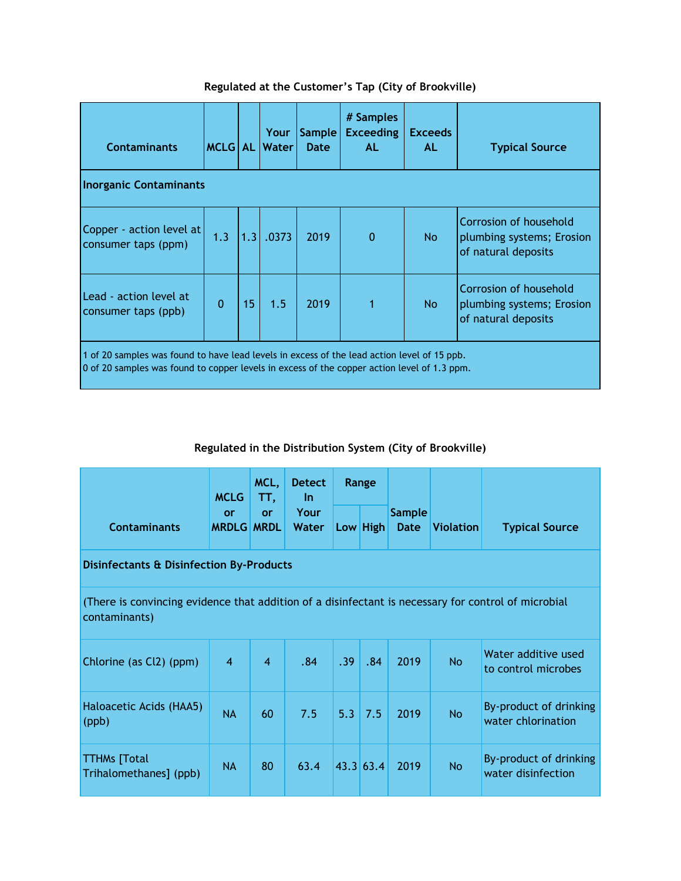| <b>Contaminants</b>                                                                                                                                                                        | <b>MCLG</b> AL |     | Your<br>Water | <b>Sample</b><br><b>Date</b> | # Samples<br><b>Exceeding</b><br>AL. | <b>Exceeds</b><br>AL | <b>Typical Source</b>                                                      |  |  |
|--------------------------------------------------------------------------------------------------------------------------------------------------------------------------------------------|----------------|-----|---------------|------------------------------|--------------------------------------|----------------------|----------------------------------------------------------------------------|--|--|
| <b>Inorganic Contaminants</b>                                                                                                                                                              |                |     |               |                              |                                      |                      |                                                                            |  |  |
| Copper - action level at<br>consumer taps (ppm)                                                                                                                                            | 1.3            | 1.3 | .0373         | 2019                         | $\mathbf{0}$                         | No.                  | Corrosion of household<br>plumbing systems; Erosion<br>of natural deposits |  |  |
| Lead - action level at<br>consumer taps (ppb)                                                                                                                                              | $\mathbf{0}$   | 15  | 1.5           | 2019                         |                                      | N <sub>o</sub>       | Corrosion of household<br>plumbing systems; Erosion<br>of natural deposits |  |  |
| 1 of 20 samples was found to have lead levels in excess of the lead action level of 15 ppb.<br>0 of 20 samples was found to copper levels in excess of the copper action level of 1.3 ppm. |                |     |               |                              |                                      |                      |                                                                            |  |  |

## **Regulated at the Customer's Tap (City of Brookville)**

# **Regulated in the Distribution System (City of Brookville)**

|                                                                                                                      | <b>MCLG</b>             | MCL,<br>TT,    | <b>Detect</b><br>$\ln$<br>Your<br>Water | Range |           |                              |                  |                                              |  |  |
|----------------------------------------------------------------------------------------------------------------------|-------------------------|----------------|-----------------------------------------|-------|-----------|------------------------------|------------------|----------------------------------------------|--|--|
| <b>Contaminants</b>                                                                                                  | or<br><b>MRDLG MRDL</b> | or             |                                         |       | Low High  | <b>Sample</b><br><b>Date</b> | <b>Violation</b> | <b>Typical Source</b>                        |  |  |
| Disinfectants & Disinfection By-Products                                                                             |                         |                |                                         |       |           |                              |                  |                                              |  |  |
| (There is convincing evidence that addition of a disinfectant is necessary for control of microbial<br>contaminants) |                         |                |                                         |       |           |                              |                  |                                              |  |  |
| Chlorine (as Cl2) (ppm)                                                                                              | $\overline{4}$          | $\overline{A}$ | .84                                     | .39   | .84       | 2019                         | <b>No</b>        | Water additive used<br>to control microbes   |  |  |
| Haloacetic Acids (HAA5)<br>(ppb)                                                                                     | <b>NA</b>               | 60             | 7.5                                     | 5.3   | 7.5       | 2019                         | <b>No</b>        | By-product of drinking<br>water chlorination |  |  |
| <b>TTHMs</b> [Total<br>Trihalomethanes] (ppb)                                                                        | <b>NA</b>               | 80             | 63.4                                    |       | 43.3 63.4 | 2019                         | <b>No</b>        | By-product of drinking<br>water disinfection |  |  |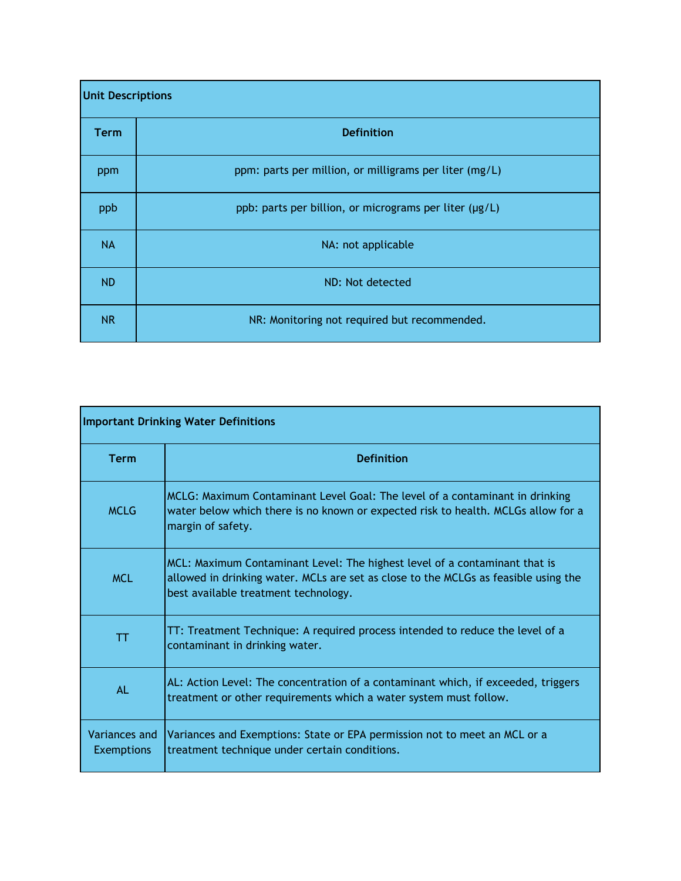| <b>Unit Descriptions</b> |                                                        |  |  |  |  |  |
|--------------------------|--------------------------------------------------------|--|--|--|--|--|
| <b>Term</b>              | <b>Definition</b>                                      |  |  |  |  |  |
| ppm                      | ppm: parts per million, or milligrams per liter (mg/L) |  |  |  |  |  |
| ppb                      | ppb: parts per billion, or micrograms per liter (µg/L) |  |  |  |  |  |
| <b>NA</b>                | NA: not applicable                                     |  |  |  |  |  |
| ND.                      | ND: Not detected                                       |  |  |  |  |  |
| <b>NR</b>                | NR: Monitoring not required but recommended.           |  |  |  |  |  |

| <b>Important Drinking Water Definitions</b> |                                                                                                                                                                                                           |  |  |  |  |  |
|---------------------------------------------|-----------------------------------------------------------------------------------------------------------------------------------------------------------------------------------------------------------|--|--|--|--|--|
| <b>Term</b>                                 | <b>Definition</b>                                                                                                                                                                                         |  |  |  |  |  |
| <b>MCLG</b>                                 | MCLG: Maximum Contaminant Level Goal: The level of a contaminant in drinking<br>water below which there is no known or expected risk to health. MCLGs allow for a<br>margin of safety.                    |  |  |  |  |  |
| <b>MCL</b>                                  | MCL: Maximum Contaminant Level: The highest level of a contaminant that is<br>allowed in drinking water. MCLs are set as close to the MCLGs as feasible using the<br>best available treatment technology. |  |  |  |  |  |
| TT                                          | TT: Treatment Technique: A required process intended to reduce the level of a<br>contaminant in drinking water.                                                                                           |  |  |  |  |  |
| AL                                          | AL: Action Level: The concentration of a contaminant which, if exceeded, triggers<br>treatment or other requirements which a water system must follow.                                                    |  |  |  |  |  |
| Variances and<br><b>Exemptions</b>          | Variances and Exemptions: State or EPA permission not to meet an MCL or a<br>treatment technique under certain conditions.                                                                                |  |  |  |  |  |